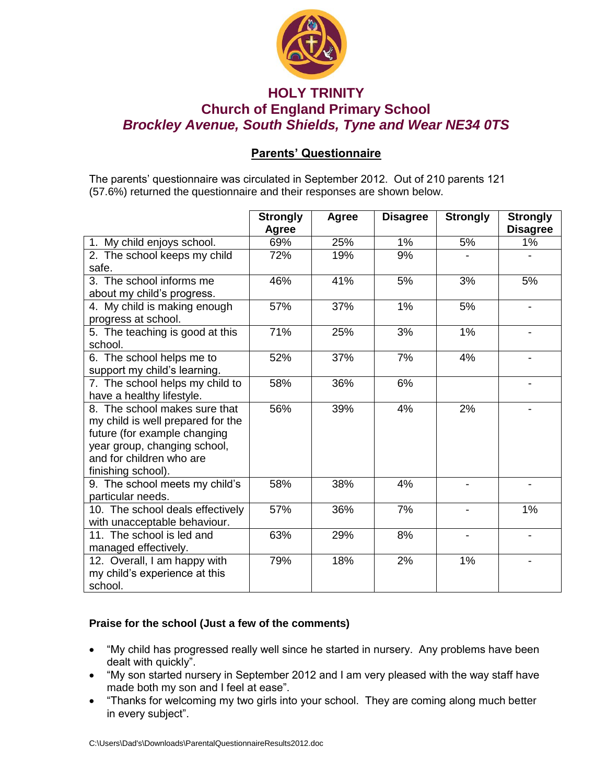

## **HOLY TRINITY Church of England Primary School** *Brockley Avenue, South Shields, Tyne and Wear NE34 0TS*

## **Parents' Questionnaire**

The parents' questionnaire was circulated in September 2012. Out of 210 parents 121 (57.6%) returned the questionnaire and their responses are shown below.

|                                                                                                                                                                                      | <b>Strongly</b><br><b>Agree</b> | Agree | <b>Disagree</b> | <b>Strongly</b> | <b>Strongly</b><br><b>Disagree</b> |
|--------------------------------------------------------------------------------------------------------------------------------------------------------------------------------------|---------------------------------|-------|-----------------|-----------------|------------------------------------|
| 1. My child enjoys school.                                                                                                                                                           | 69%                             | 25%   | 1%              | 5%              | 1%                                 |
| 2. The school keeps my child<br>safe.                                                                                                                                                | 72%                             | 19%   | 9%              |                 |                                    |
| 3. The school informs me<br>about my child's progress.                                                                                                                               | 46%                             | 41%   | 5%              | 3%              | 5%                                 |
| 4. My child is making enough<br>progress at school.                                                                                                                                  | 57%                             | 37%   | 1%              | 5%              |                                    |
| 5. The teaching is good at this<br>school.                                                                                                                                           | 71%                             | 25%   | 3%              | 1%              |                                    |
| 6. The school helps me to<br>support my child's learning.                                                                                                                            | 52%                             | 37%   | 7%              | 4%              |                                    |
| 7. The school helps my child to<br>have a healthy lifestyle.                                                                                                                         | 58%                             | 36%   | 6%              |                 |                                    |
| 8. The school makes sure that<br>my child is well prepared for the<br>future (for example changing<br>year group, changing school,<br>and for children who are<br>finishing school). | 56%                             | 39%   | 4%              | 2%              |                                    |
| 9. The school meets my child's<br>particular needs.                                                                                                                                  | 58%                             | 38%   | 4%              |                 |                                    |
| 10. The school deals effectively<br>with unacceptable behaviour.                                                                                                                     | 57%                             | 36%   | 7%              |                 | 1%                                 |
| 11. The school is led and<br>managed effectively.                                                                                                                                    | 63%                             | 29%   | 8%              |                 |                                    |
| 12. Overall, I am happy with<br>my child's experience at this<br>school.                                                                                                             | 79%                             | 18%   | 2%              | 1%              |                                    |

## **Praise for the school (Just a few of the comments)**

- "My child has progressed really well since he started in nursery. Any problems have been dealt with quickly".
- "My son started nursery in September 2012 and I am very pleased with the way staff have made both my son and I feel at ease".
- "Thanks for welcoming my two girls into your school. They are coming along much better in every subject".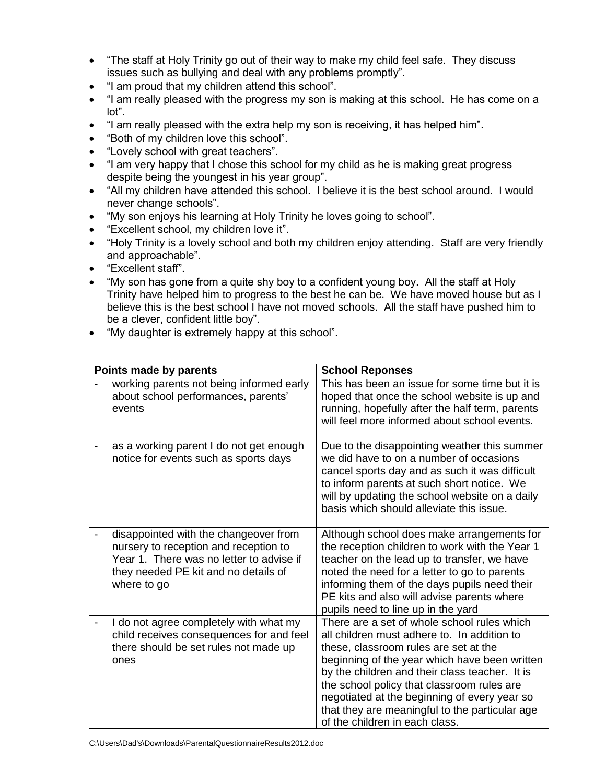- "The staff at Holy Trinity go out of their way to make my child feel safe. They discuss issues such as bullying and deal with any problems promptly".
- "I am proud that my children attend this school".
- "I am really pleased with the progress my son is making at this school. He has come on a lot".
- "I am really pleased with the extra help my son is receiving, it has helped him".
- "Both of my children love this school".
- "Lovely school with great teachers".
- "I am very happy that I chose this school for my child as he is making great progress despite being the youngest in his year group".
- "All my children have attended this school. I believe it is the best school around. I would never change schools".
- "My son enjoys his learning at Holy Trinity he loves going to school".
- "Excellent school, my children love it".
- "Holy Trinity is a lovely school and both my children enjoy attending. Staff are very friendly and approachable".
- "Excellent staff".
- "My son has gone from a quite shy boy to a confident young boy. All the staff at Holy Trinity have helped him to progress to the best he can be. We have moved house but as I believe this is the best school I have not moved schools. All the staff have pushed him to be a clever, confident little boy".
- "My daughter is extremely happy at this school".

| Points made by parents                                                                                                                                                            |  | <b>School Reponses</b>                                                                                                                                                                                                                                                                                                                                                                                                   |  |  |
|-----------------------------------------------------------------------------------------------------------------------------------------------------------------------------------|--|--------------------------------------------------------------------------------------------------------------------------------------------------------------------------------------------------------------------------------------------------------------------------------------------------------------------------------------------------------------------------------------------------------------------------|--|--|
| working parents not being informed early<br>about school performances, parents'<br>events                                                                                         |  | This has been an issue for some time but it is<br>hoped that once the school website is up and<br>running, hopefully after the half term, parents<br>will feel more informed about school events.                                                                                                                                                                                                                        |  |  |
| as a working parent I do not get enough<br>notice for events such as sports days                                                                                                  |  | Due to the disappointing weather this summer<br>we did have to on a number of occasions<br>cancel sports day and as such it was difficult<br>to inform parents at such short notice. We<br>will by updating the school website on a daily<br>basis which should alleviate this issue.                                                                                                                                    |  |  |
| disappointed with the changeover from<br>nursery to reception and reception to<br>Year 1. There was no letter to advise if<br>they needed PE kit and no details of<br>where to go |  | Although school does make arrangements for<br>the reception children to work with the Year 1<br>teacher on the lead up to transfer, we have<br>noted the need for a letter to go to parents<br>informing them of the days pupils need their<br>PE kits and also will advise parents where<br>pupils need to line up in the yard                                                                                          |  |  |
| I do not agree completely with what my<br>child receives consequences for and feel<br>there should be set rules not made up<br>ones                                               |  | There are a set of whole school rules which<br>all children must adhere to. In addition to<br>these, classroom rules are set at the<br>beginning of the year which have been written<br>by the children and their class teacher. It is<br>the school policy that classroom rules are<br>negotiated at the beginning of every year so<br>that they are meaningful to the particular age<br>of the children in each class. |  |  |